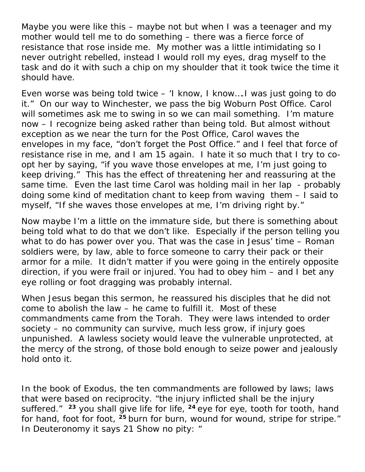Maybe you were like this – maybe not but when I was a teenager and my mother would tell me to do something – there was a fierce force of resistance that rose inside me. My mother was a little intimidating so I never outright rebelled, instead I would roll my eyes, drag myself to the task and do it with such a chip on my shoulder that it took twice the time it should have.

Even worse was being told twice – 'I know, I know….I was just going to do it." On our way to Winchester, we pass the big Woburn Post Office. Carol will sometimes ask me to swing in so we can mail something. I'm mature now – I recognize being asked rather than being told. But almost without exception as we near the turn for the Post Office, Carol waves the envelopes in my face, "don't forget the Post Office." and I feel that force of resistance rise in me, and I am 15 again. I hate it so much that I try to coopt her by saying, "if you wave those envelopes at me, I'm just going to keep driving." This has the effect of threatening her and reassuring at the same time. Even the last time Carol was holding mail in her lap - probably doing some kind of meditation chant to keep from waving them – I said to myself, "If she waves those envelopes at me, I'm driving right by."

Now maybe I'm a little on the immature side, but there is something about being told what to do that we don't like. Especially if the person telling you what to do has power over you. That was the case in Jesus' time – Roman soldiers were, by law, able to force someone to carry their pack or their armor for a mile. It didn't matter if you were going in the entirely opposite direction, if you were frail or injured. You had to obey him – and I bet any eye rolling or foot dragging was probably internal.

When Jesus began this sermon, he reassured his disciples that he did not come to abolish the law – he came to fulfill it. Most of these commandments came from the Torah. They were laws intended to order society – no community can survive, much less grow, if injury goes unpunished. A lawless society would leave the vulnerable unprotected, at the mercy of the strong, of those bold enough to seize power and jealously hold onto it.

In the book of Exodus, the ten commandments are followed by laws; laws that were based on reciprocity. "the injury inflicted shall be the injury suffered." **<sup>23</sup>** you shall give life for life, **<sup>24</sup>** eye for eye, tooth for tooth, hand for hand, foot for foot, **<sup>25</sup>** burn for burn, wound for wound, stripe for stripe." In Deuteronomy it says 21 Show no pity: "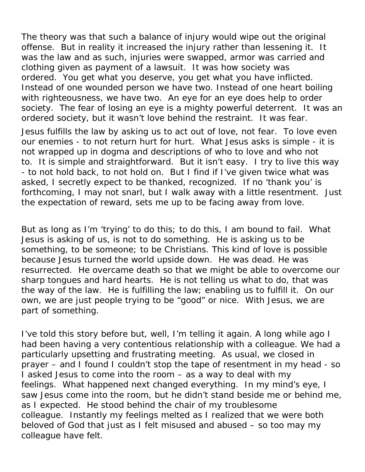The theory was that such a balance of injury would wipe out the original offense. But in reality it increased the injury rather than lessening it. It was the law and as such, injuries were swapped, armor was carried and clothing given as payment of a lawsuit. It was how society was ordered. You get what you deserve, you get what you have inflicted. Instead of one wounded person we have two. Instead of one heart boiling with righteousness, we have two. An eye for an eye does help to order society. The fear of losing an eye is a mighty powerful deterrent. It was an ordered society, but it wasn't love behind the restraint. It was fear.

Jesus fulfills the law by asking us to act out of love, not fear. To love even our enemies - to not return hurt for hurt. What Jesus asks is simple - it is not wrapped up in dogma and descriptions of who to love and who not to. It is simple and straightforward. But it isn't easy. I try to live this way - to not hold back, to not hold on. But I find if I've given twice what was asked, I secretly expect to be thanked, recognized. If no 'thank you' is forthcoming, I may not snarl, but I walk away with a little resentment. Just the expectation of reward, sets me up to be facing away from love.

But as long as I'm 'trying' to do this; to do this, I am bound to fail. What Jesus is asking of us, is not to do something. He is asking us to be something, to be someone; to be Christians. This kind of love is possible because Jesus turned the world upside down. He was dead. He was resurrected. He overcame death so that we might be able to overcome our sharp tongues and hard hearts. He is not telling us what to do, that was the way of the law. He is fulfilling the law; enabling us to fulfill it. On our own, we are just people trying to be "good" or nice. With Jesus, we are part of something.

I've told this story before but, well, I'm telling it again. A long while ago I had been having a very contentious relationship with a colleague. We had a particularly upsetting and frustrating meeting. As usual, we closed in prayer – and I found I couldn't stop the tape of resentment in my head - so I asked Jesus to come into the room – as a way to deal with my feelings. What happened next changed everything. In my mind's eye, I saw Jesus come into the room, but he didn't stand beside me or behind me, as I expected. He stood behind the chair of my troublesome colleague. Instantly my feelings melted as I realized that we were both beloved of God that just as I felt misused and abused – so too may my colleague have felt.